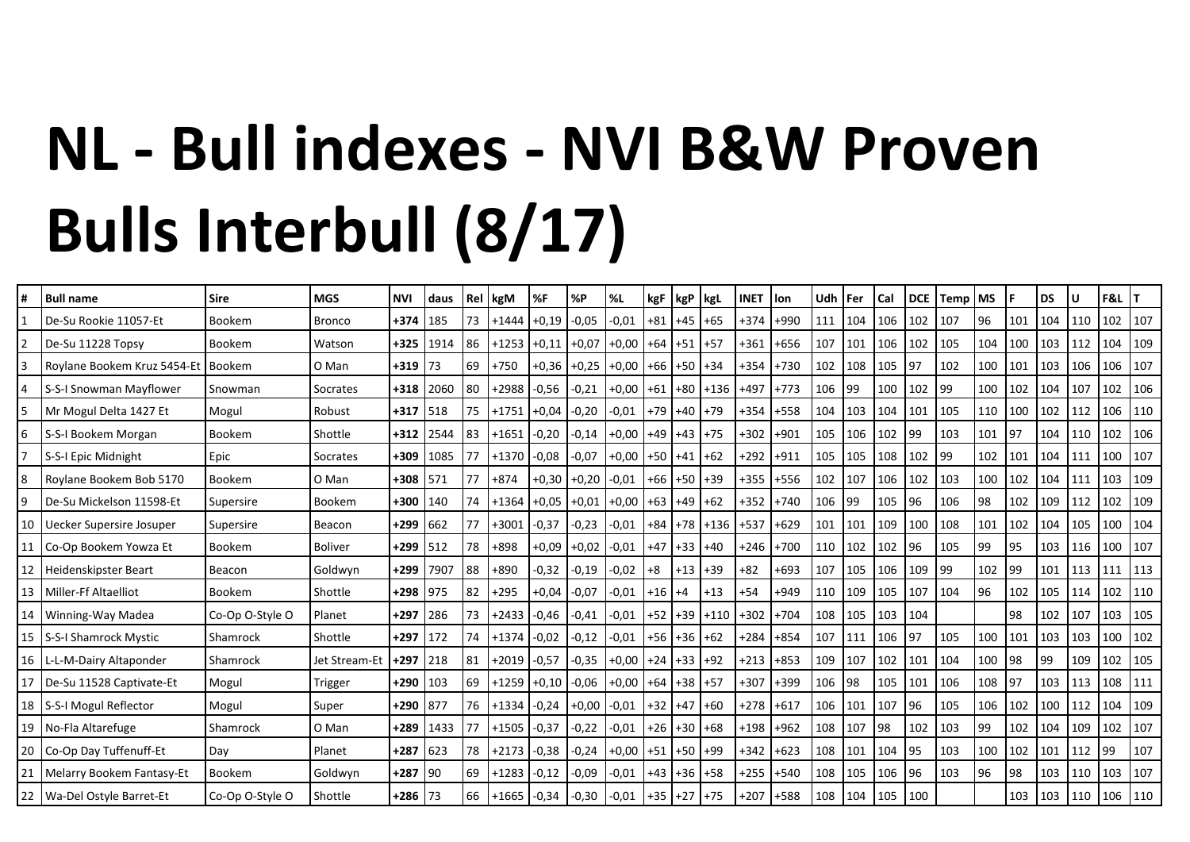## NL - Bull indexes - NVI B&W Proven **Bulls Interbull (8/17)**

| #               | <b>Bull name</b>               | <b>Sire</b>     | <b>MGS</b>     | <b>NVI</b> | <b>daus</b> | Rel       | kgM             | %F            | %P      | %L                        | kgF       | $kgP$   kgL       |                     | <b>INET</b> | llon.  | Udh   Fer |               | Cal | <b>DCE</b> | Temp | <b>MS</b> |     | <b>DS</b> | U   | F&L |     |
|-----------------|--------------------------------|-----------------|----------------|------------|-------------|-----------|-----------------|---------------|---------|---------------------------|-----------|-------------------|---------------------|-------------|--------|-----------|---------------|-----|------------|------|-----------|-----|-----------|-----|-----|-----|
|                 | De-Su Rookie 11057-Et          | Bookem          | <b>Bronco</b>  | +374       | 185         | 73        | $+1444$         | $+0,19$       | $-0.05$ | $-0,01$                   | $+81$     | $+45$             | $+65$               | +374        | $+990$ | 111       | 104           | 106 | 102        | 107  | 96        | 101 | 104       | 110 | 102 | 107 |
| $\overline{2}$  | De-Su 11228 Topsy              | Bookem          | Watson         | $+325$     | 1914        | 86        | $+1253$         | $+0.11$       | $+0,07$ | $+0,00$                   | $+64$ +51 |                   | $ +57$              | $+361$      | $+656$ | 107       | 101           | 106 | 102        | 105  | 104       | 100 | 103       | 112 | 104 | 109 |
| 3               | Roylane Bookem Kruz 5454-Et    | Bookem          | O Man          | $+319$     | l 73        | 69        | $+750$          | $+0,36$       | $+0,25$ | $+0.00$ +66 +50 +34       |           |                   |                     | $+354$      | $+730$ | 102       | 108           | 105 | 97         | 102  | 100       | 101 | 103       | 106 | 106 | 107 |
| 4               | S-S-I Snowman Mayflower        | Snowman         | Socrates       | $+318$     | 2060        | 80        | $+2988$         | $-0,56$       | $-0,21$ | $+0,00$ +61 +80 +136 +497 |           |                   |                     |             | $+773$ | 106       | 99            | 100 | 102        | 99   | 100       | 102 | 104       | 107 | 102 | 106 |
| 5               | Mr Mogul Delta 1427 Et         | Mogul           | Robust         | $+317$ 518 |             | 75        | $+1751$         | $+0,04$       | $-0,20$ | $-0.01$                   |           | $+79$ +40         | $+79$               | $+354$      | $+558$ | 104       | 103           | 104 | 101        | 105  | 110       | 100 | 102       | 112 | 106 | 110 |
| 6               | S-S-I Bookem Morgan            | Bookem          | Shottle        | $+312$     | 2544        | <b>83</b> | $+1651$ -0,20   |               | $-0,14$ | $+0,00$                   |           | $+49$ +43 +75     |                     | $+302$      | $+901$ | 105       | 1106          | 102 | 99         | 103  | 101       | 97  | 104       | 110 | 102 | 106 |
|                 | S-S-I Epic Midnight            | Epic            | Socrates       | $+309$     | 1085        |           | $+1370$         | $-0.08$       | $-0,07$ | $+0,00$                   |           | $+50$ $+41$ $+62$ |                     | +292        | $+911$ | 105       | 105           | 108 | 102        | 99   | 102       | 101 | 104       | 111 | 100 | 107 |
| 8               | Roylane Bookem Bob 5170        | Bookem          | O Man          | $+308$     | 571         | 177       | $+874$          | $+0,30$       | $+0,20$ | $-0,01$                   |           | $+66$ +50 +39     |                     | $+355$      | $+556$ | 102       | 107           | 106 | 102        | 103  | 100       | 102 | 104       | 111 | 103 | 109 |
| 9               | De-Su Mickelson 11598-Et       | Supersire       | Bookem         | $+300$     | 140         | 74        | $+1364$         | $+0.05$ +0.01 |         | $+0,00$ +63 +49 +62       |           |                   |                     | +352        | $+740$ | 106       | 99            | 105 | 96         | 106  | 98        | 102 | 109       | 112 | 102 | 109 |
| 10              | Uecker Supersire Josuper       | Supersire       | Beacon         | $+299$     | 662         |           | $+3001$         | $-0,37$       | $-0,23$ | $-0,01$                   |           |                   | $+84$ +78 +136 +537 |             | $+629$ | 101       | 101           | 109 | 100        | 108  | 101       | 102 | 104       | 105 | 100 | 104 |
| 11              | Co-Op Bookem Yowza Et          | Bookem          | <b>Boliver</b> | $+299$ 512 |             | 78        | $+898$          | $+0.09$       | $+0.02$ | $-0.01$                   |           | $+47$ +33 +40     |                     | $+246$      | $+700$ | 110       | $ 102\rangle$ | 102 | 96         | 105  | 99        | 95  | 103       | 116 | 100 | 107 |
| 12              | Heidenskipster Beart           | Beacon          | Goldwyn        | $+299$     | 7907        | 88        | $+890$          | $-0,32$       | $-0,19$ | $-0,02$                   | $+8$      | $+13$             | $+39$               | $+82$       | $+693$ | 107       | 105           | 106 | 109        | 99   | 102       | 99  | 101       | 113 | 111 | 113 |
| 13              | Miller-Ff Altaelliot           | Bookem          | Shottle        | $+298$     | 975         | 82        | $+295$          | +0,04         | $-0,07$ | $-0,01$                   | $+16$ +4  |                   | $+13$               | $+54$       | $+949$ | 110       | 109           | 105 | 107        | 104  | 96        | 102 | 105       | 114 | 102 | 110 |
| 14              | Winning-Way Madea              | Co-Op O-Style O | Planet         | +297       | 286         | l 73      | $+2433$         | $-0,46$       | $-0,41$ | $-0,01$                   |           |                   | $+52$ +39 +110 +302 |             | $+704$ | 108       | 105           | 103 | 104        |      |           | 98  | 102       | 107 | 103 | 105 |
| 15              | S-S-I Shamrock Mystic          | Shamrock        | Shottle        | $+297$     | 172         | 74        | $+1374$         | $-0,02$       | -0,12   | $-0,01$                   |           | $+56$ +36 +62     |                     | +284        | $+854$ | 107       | 111           | 106 | 97         | 105  | 100       | 101 | 103       | 103 | 100 | 102 |
| 16 <sup>1</sup> | L-L-M-Dairy Altaponder         | Shamrock        | Jet Stream-Et  | $+297$     | 218         | 81        | $+2019$ $-0.57$ |               | $-0,35$ | $+0.00$ +24 +33 +92       |           |                   |                     | $+213$      | $+853$ | 109       | 107           | 102 | 101        | 104  | 100       | 98  | 99        | 109 | 102 | 105 |
| 17              | De-Su 11528 Captivate-Et       | Mogul           | Trigger        | $+290$     | 103         | 69        | $+1259$         | $+0,10$       | $-0,06$ | $+0,00$ +64 +38 +57       |           |                   |                     | $+307$      | +399   | 106       | 98            | 105 | 101        | 106  | 108       | 97  | 103       | 113 | 108 | 111 |
| 18              | S-S-I Mogul Reflector          | Mogul           | Super          | +290 877   |             | 76        | $+1334$         | $-0,24$       | $+0,00$ | $-0,01$                   | $+32$ +47 |                   | $+60$               | +278        | $+617$ | 106       | 101           | 107 | 96         | 105  | 106       | 102 | 100       | 112 | 104 | 109 |
|                 | 19 No-Fla Altarefuge           | Shamrock        | O Man          | +289       | 1433        | 177       | $+1505 -0,37$   |               | $-0,22$ | $-0,01$                   |           | $+26$ +30 +68     |                     | $+198$      | $+962$ | 108       | 107           | 98  | 102        | 103  | 99        | 102 | 104       | 109 | 102 | 107 |
| 20              | Co-Op Day Tuffenuff-Et         | Day             | Planet         | $+287$     | 623         | 78        | $+2173$         | $-0,38$       | $-0,24$ | $+0,00$ +51 +50 +99       |           |                   |                     | $+342$      | $+623$ | 108       | 101           | 104 | 95         | 103  | 100       | 102 | 101       | 112 | 99  | 107 |
|                 | 21   Melarry Bookem Fantasy-Et | Bookem          | Goldwyn        | $+287$ 90  |             | 69        | $+1283$         | $-0,12$       | $-0,09$ | $-0,01$                   |           | $+43$ +36 +58     |                     | $+255$      | $+540$ | 108       | 105           | 106 | 96         | 103  | 96        | 98  | 103       | 110 | 103 | 107 |
|                 | 22   Wa-Del Ostyle Barret-Et   | Co-Op O-Style O | Shottle        | $+286$ 73  |             | 66        | $+1665$ $-0,34$ |               | $-0,30$ | $-0,01$                   |           | $+35$ +27 +75     |                     | $+207$      | +588   | 108       | 104           | 105 | 100        |      |           | 103 | 103       | 110 | 106 | 110 |